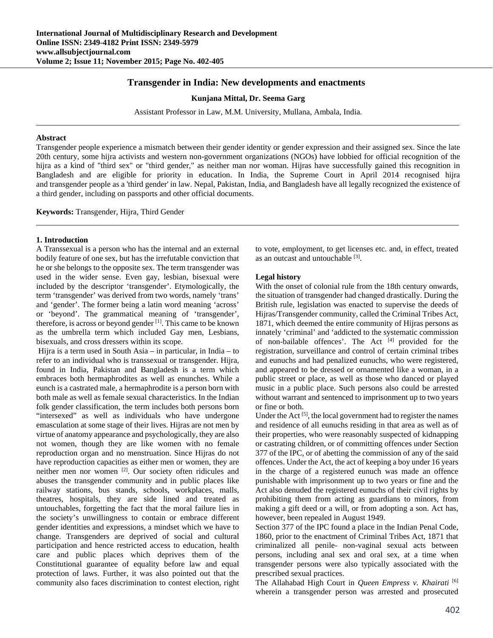# **Transgender in India: New developments and enactments**

**Kunjana Mittal, Dr. Seema Garg** 

Assistant Professor in Law, M.M. University, Mullana, Ambala, India.

#### **Abstract**

Transgender people experience a mismatch between their gender identity or gender expression and their assigned sex. Since the late 20th century, some hijra activists and western non-government organizations (NGOs) have lobbied for official recognition of the hijra as a kind of "third sex" or "third gender," as neither man nor woman. Hijras have successfully gained this recognition in Bangladesh and are eligible for priority in education. In India, the Supreme Court in April 2014 recognised hijra and transgender people as a 'third gender' in law. Nepal, Pakistan, India, and Bangladesh have all legally recognized the existence of a third gender, including on passports and other official documents.

**Keywords:** Transgender, Hijra, Third Gender

### **1. Introduction**

A Transsexual is a person who has the internal and an external bodily feature of one sex, but has the irrefutable conviction that he or she belongs to the opposite sex. The term transgender was used in the wider sense. Even gay, lesbian, bisexual were included by the descriptor 'transgender'. Etymologically, the term 'transgender' was derived from two words, namely 'trans' and 'gender'. The former being a latin word meaning 'across' or 'beyond'. The grammatical meaning of 'transgender', therefore, is across or beyond gender [1]. This came to be known as the umbrella term which included Gay men, Lesbians, bisexuals, and cross dressers within its scope.

 Hijra is a term used in South Asia – in particular, in India – to refer to an individual who is transsexual or transgender. Hijra, found in India, Pakistan and Bangladesh is a term which embraces both hermaphrodites as well as enunches. While a eunch is a castrated male, a hermaphrodite is a person born with both male as well as female sexual characteristics. In the Indian folk gender classification, the term includes both persons born "intersexed" as well as individuals who have undergone emasculation at some stage of their lives. Hijras are not men by virtue of anatomy appearance and psychologically, they are also not women, though they are like women with no female reproduction organ and no menstruation. Since Hijras do not have reproduction capacities as either men or women, they are neither men nor women [2]. Our society often ridicules and abuses the transgender community and in public places like railway stations, bus stands, schools, workplaces, malls, theatres, hospitals, they are side lined and treated as untouchables, forgetting the fact that the moral failure lies in the society's unwillingness to contain or embrace different gender identities and expressions, a mindset which we have to change. Transgenders are deprived of social and cultural participation and hence restricted access to education, health care and public places which deprives them of the Constitutional guarantee of equality before law and equal protection of laws. Further, it was also pointed out that the community also faces discrimination to contest election, right

to vote, employment, to get licenses etc. and, in effect, treated as an outcast and untouchable [3].

### **Legal history**

With the onset of colonial rule from the 18th century onwards, the situation of transgender had changed drastically. During the British rule, legislation was enacted to supervise the deeds of Hijras/Transgender community, called the Criminal Tribes Act, 1871, which deemed the entire community of Hijras persons as innately 'criminal' and 'addicted to the systematic commission of non-bailable offences'. The Act [4] provided for the registration, surveillance and control of certain criminal tribes and eunuchs and had penalized eunuchs, who were registered, and appeared to be dressed or ornamented like a woman, in a public street or place, as well as those who danced or played music in a public place. Such persons also could be arrested without warrant and sentenced to imprisonment up to two years or fine or both.

Under the Act [5], the local government had to register the names and residence of all eunuchs residing in that area as well as of their properties, who were reasonably suspected of kidnapping or castrating children, or of committing offences under Section 377 of the IPC, or of abetting the commission of any of the said offences. Under the Act, the act of keeping a boy under 16 years in the charge of a registered eunuch was made an offence punishable with imprisonment up to two years or fine and the Act also denuded the registered eunuchs of their civil rights by prohibiting them from acting as guardians to minors, from making a gift deed or a will, or from adopting a son. Act has, however, been repealed in August 1949.

Section 377 of the IPC found a place in the Indian Penal Code, 1860, prior to the enactment of Criminal Tribes Act, 1871 that criminalized all penile- non-vaginal sexual acts between persons, including anal sex and oral sex, at a time when transgender persons were also typically associated with the prescribed sexual practices.

The Allahabad High Court in *Queen Empress v. Khairati* [6] wherein a transgender person was arrested and prosecuted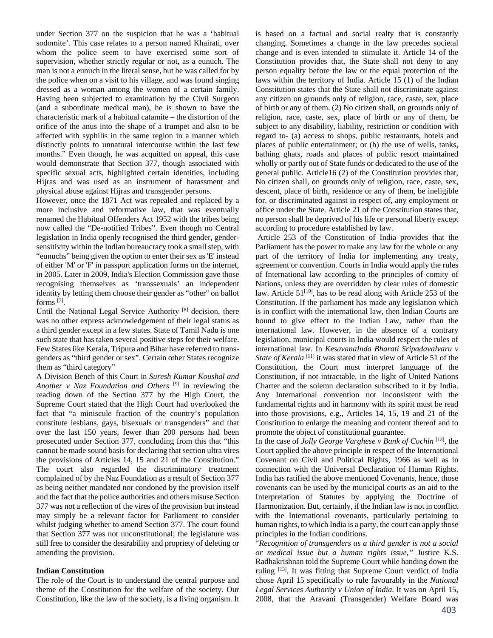under Section 377 on the suspicion that he was a 'habitual sodomite'. This case relates to a person named Khairati, over whom the police seem to have exercised some sort of supervision, whether strictly regular or not, as a eunuch. The man is not a eunuch in the literal sense, but he was called for by the police when on a visit to his village, and was found singing dressed as a woman among the women of a certain family. Having been subjected to examination by the Civil Surgeon (and a subordinate medical man), he is shown to have the characteristic mark of a habitual catamite – the distortion of the orifice of the anus into the shape of a trumpet and also to be affected with syphilis in the same region in a manner which distinctly points to unnatural intercourse within the last few months." Even though, he was acquitted on appeal, this case would demonstrate that Section 377, though associated with specific sexual acts, highlighted certain identities, including Hijras and was used as an instrument of harassment and physical abuse against Hijras and transgender persons.

However, once the 1871 Act was repealed and replaced by a more inclusive and reformative law, that was eventually renamed the Habitual Offenders Act 1952 with the tribes being now called the "De-notified Tribes". Even though no Central legislation in India openly recognised the third gender, gendersensitivity within the Indian bureaucracy took a small step, with "eunuchs" being given the option to enter their sex as 'E' instead of either 'M' or 'F' in passport application forms on the internet, in 2005. Later in 2009, India's Election Commission gave those recognising themselves as 'transsexuals' an independent identity by letting them choose their gender as "other" on ballot forms  $^{[7]}$ .

Until the National Legal Service Authority<sup>[8]</sup> decision, there was no other express acknowledgement of their legal status as a third gender except in a few states. State of Tamil Nadu is one such state that has taken several positive steps for their welfare. Few States like Kerala, Tripura and Bihar have referred to transgenders as "third gender or sex". Certain other States recognize them as "third category"

A Division Bench of this Court in *Suresh Kumar Koushal and Another v Naz Foundation and Others* [9] in reviewing the reading down of the Section 377 by the High Court, the Supreme Court stated that the High Court had overlooked the fact that "a miniscule fraction of the country's population constitute lesbians, gays, bisexuals or transgenders" and that over the last 150 years, fewer than 200 persons had been prosecuted under Section 377, concluding from this that "this cannot be made sound basis for declaring that section ultra vires the provisions of Articles 14, 15 and 21 of the Constitution." The court also regarded the discriminatory treatment complained of by the Naz Foundation as a result of Section 377 as being neither mandated nor condoned by the provision itself and the fact that the police authorities and others misuse Section 377 was not a reflection of the vires of the provision but instead may simply be a relevant factor for Parliament to consider whilst judging whether to amend Section 377. The court found that Section 377 was not unconstitutional; the legislature was still free to consider the desirability and propriety of deleting or amending the provision.

## **Indian Constitution**

The role of the Court is to understand the central purpose and theme of the Constitution for the welfare of the society. Our Constitution, like the law of the society, is a living organism. It

is based on a factual and social realty that is constantly changing. Sometimes a change in the law precedes societal change and is even intended to stimulate it. Article 14 of the Constitution provides that, the State shall not deny to any person equality before the law or the equal protection of the laws within the territory of India. Article 15 (1) of the Indian Constitution states that the State shall not discriminate against any citizen on grounds only of religion, race, caste, sex, place of birth or any of them. (2) No citizen shall, on grounds only of religion, race, caste, sex, place of birth or any of them, be subject to any disability, liability, restriction or condition with regard to- (a) access to shops, public restaurants, hotels and places of public entertainment; or (b) the use of wells, tanks, bathing ghats, roads and places of public resort maintained wholly or partly out of State funds or dedicated to the use of the general public. Article16 (2) of the Constitution provides that, No citizen shall, on grounds only of religion, race, caste, sex, descent, place of birth, residence or any of them, be ineligible for, or discriminated against in respect of, any employment or office under the State. Article 21 of the Constitution states that, no person shall be deprived of his life or personal liberty except according to procedure established by law.

 Article 253 of the Constitution of India provides that the Parliament has the power to make any law for the whole or any part of the territory of India for implementing any treaty, agreement or convention. Courts in India would apply the rules of International law according to the principles of comity of Nations, unless they are overridden by clear rules of domestic law. Article  $51^{[10]}$ , has to be read along with Article 253 of the Constitution. If the parliament has made any legislation which is in conflict with the international law, then Indian Courts are bound to give effect to the Indian Law, rather than the international law. However, in the absence of a contrary legislation, municipal courts in India would respect the rules of international law. In *KesavanaInda Bharati Sripadavalvaru v State of Kerala*<sup>[11]</sup> it was stated that in view of Article 51 of the Constitution, the Court must interpret language of the Constitution, if not intractable, in the light of United Nations Charter and the solemn declaration subscribed to it by India. Any International convention not inconsistent with the fundamental rights and in harmony with its spirit must be read into those provisions, e.g., Articles 14, 15, 19 and 21 of the Constitution to enlarge the meaning and content thereof and to promote the object of constitutional guarantee.

In the case of *Jolly George Varghese v Bank of Cochin* [12], the Court applied the above principle in respect of the International Covenant on Civil and Political Rights, 1966 as well as in connection with the Universal Declaration of Human Rights. India has ratified the above mentioned Covenants, hence, those covenants can be used by the municipal courts as an aid to the Interpretation of Statutes by applying the Doctrine of Harmonization. But, certainly, if the Indian law is not in conflict with the International covenants, particularly pertaining to human rights, to which India is a party, the court can apply those principles in the Indian conditions.

"*Recognition of transgenders as a third gender is not a social or medical issue but a human rights issue,"* Justice K.S. Radhakrishnan told the Supreme Court while handing down the ruling [13]. It was fitting that Supreme Court verdict of India chose April 15 specifically to rule favourably in the *National Legal Services Authority v Union of India*. It was on April 15, 2008, that the Aravani (Transgender) Welfare Board was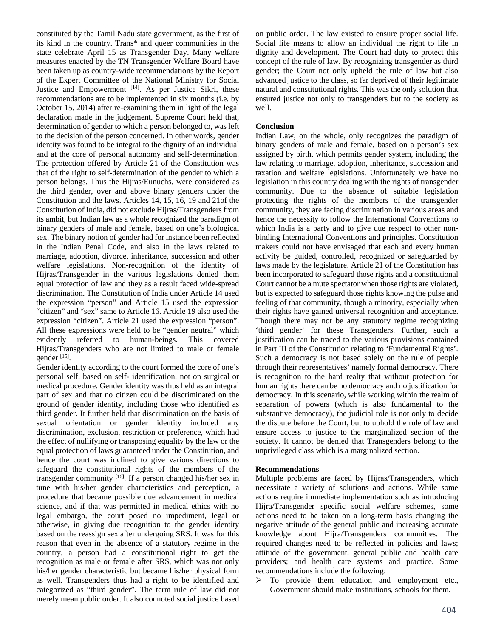constituted by the Tamil Nadu state government, as the first of its kind in the country. Trans\* and queer communities in the state celebrate April 15 as Transgender Day. Many welfare measures enacted by the TN Transgender Welfare Board have been taken up as country-wide recommendations by the Report of the Expert Committee of the National Ministry for Social Justice and Empowerment [14]. As per Justice Sikri, these recommendations are to be implemented in six months (i.e. by October 15, 2014) after re-examining them in light of the legal declaration made in the judgement. Supreme Court held that, determination of gender to which a person belonged to, was left to the decision of the person concerned. In other words, gender identity was found to be integral to the dignity of an individual and at the core of personal autonomy and self-determination. The protection offered by Article 21 of the Constitution was that of the right to self-determination of the gender to which a person belongs. Thus the Hijras/Eunuchs, were considered as the third gender, over and above binary genders under the Constitution and the laws. Articles 14, 15, 16, 19 and 21of the Constitution of India, did not exclude Hijras/Transgenders from its ambit, but Indian law as a whole recognized the paradigm of binary genders of male and female, based on one's biological sex. The binary notion of gender had for instance been reflected in the Indian Penal Code, and also in the laws related to marriage, adoption, divorce, inheritance, succession and other welfare legislations. Non-recognition of the identity of Hijras/Transgender in the various legislations denied them equal protection of law and they as a result faced wide-spread discrimination. The Constitution of India under Article 14 used the expression "person" and Article 15 used the expression "citizen" and "sex" same to Article 16. Article 19 also used the expression "citizen". Article 21 used the expression "person". All these expressions were held to be "gender neutral" which evidently referred to human-beings. This covered Hijras/Transgenders who are not limited to male or female gender [15].

Gender identity according to the court formed the core of one's personal self, based on self- identification, not on surgical or medical procedure. Gender identity was thus held as an integral part of sex and that no citizen could be discriminated on the ground of gender identity, including those who identified as third gender. It further held that discrimination on the basis of sexual orientation or gender identity included any discrimination, exclusion, restriction or preference, which had the effect of nullifying or transposing equality by the law or the equal protection of laws guaranteed under the Constitution, and hence the court was inclined to give various directions to safeguard the constitutional rights of the members of the transgender community [16]. If a person changed his/her sex in tune with his/her gender characteristics and perception, a procedure that became possible due advancement in medical science, and if that was permitted in medical ethics with no legal embargo, the court posed no impediment, legal or otherwise, in giving due recognition to the gender identity based on the reassign sex after undergoing SRS. It was for this reason that even in the absence of a statutory regime in the country, a person had a constitutional right to get the recognition as male or female after SRS, which was not only his/her gender characteristic but became his/her physical form as well. Transgenders thus had a right to be identified and categorized as "third gender". The term rule of law did not merely mean public order. It also connoted social justice based

on public order. The law existed to ensure proper social life. Social life means to allow an individual the right to life in dignity and development. The Court had duty to protect this concept of the rule of law. By recognizing transgender as third gender; the Court not only upheld the rule of law but also advanced justice to the class, so far deprived of their legitimate natural and constitutional rights. This was the only solution that ensured justice not only to transgenders but to the society as well.

### **Conclusion**

Indian Law, on the whole, only recognizes the paradigm of binary genders of male and female, based on a person's sex assigned by birth, which permits gender system, including the law relating to marriage, adoption, inheritance, succession and taxation and welfare legislations. Unfortunately we have no legislation in this country dealing with the rights of transgender community. Due to the absence of suitable legislation protecting the rights of the members of the transgender community, they are facing discrimination in various areas and hence the necessity to follow the International Conventions to which India is a party and to give due respect to other nonbinding International Conventions and principles. Constitution makers could not have envisaged that each and every human activity be guided, controlled, recognized or safeguarded by laws made by the legislature. Article 21 of the Constitution has been incorporated to safeguard those rights and a constitutional Court cannot be a mute spectator when those rights are violated, but is expected to safeguard those rights knowing the pulse and feeling of that community, though a minority, especially when their rights have gained universal recognition and acceptance. Though there may not be any statutory regime recognizing 'third gender' for these Transgenders. Further, such a justification can be traced to the various provisions contained in Part III of the Constitution relating to 'Fundamental Rights'. Such a democracy is not based solely on the rule of people through their representatives' namely formal democracy. There is recognition to the hard realty that without protection for human rights there can be no democracy and no justification for democracy. In this scenario, while working within the realm of separation of powers (which is also fundamental to the substantive democracy), the judicial role is not only to decide the dispute before the Court, but to uphold the rule of law and ensure access to justice to the marginalized section of the society. It cannot be denied that Transgenders belong to the unprivileged class which is a marginalized section.

### **Recommendations**

Multiple problems are faced by Hijras/Transgenders, which necessitate a variety of solutions and actions. While some actions require immediate implementation such as introducing Hijra/Transgender specific social welfare schemes, some actions need to be taken on a long-term basis changing the negative attitude of the general public and increasing accurate knowledge about Hijra/Transgenders communities. The required changes need to be reflected in policies and laws; attitude of the government, general public and health care providers; and health care systems and practice. Some recommendations include the following:

 $\triangleright$  To provide them education and employment etc., Government should make institutions, schools for them.